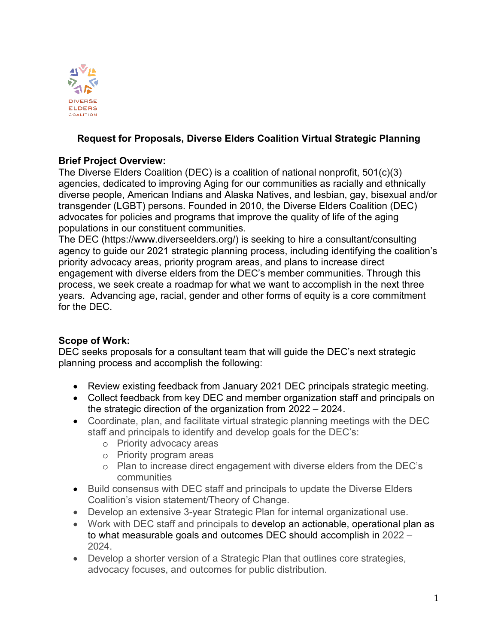

#### **Request for Proposals, Diverse Elders Coalition Virtual Strategic Planning**

#### **Brief Project Overview:**

The Diverse Elders Coalition (DEC) is a coalition of national nonprofit, 501(c)(3) agencies, dedicated to improving Aging for our communities as racially and ethnically diverse people, American Indians and Alaska Natives, and lesbian, gay, bisexual and/or transgender (LGBT) persons. Founded in 2010, the Diverse Elders Coalition (DEC) advocates for policies and programs that improve the quality of life of the aging populations in our constituent communities.

The DEC (https://www.diverseelders.org/) is seeking to hire a consultant/consulting agency to guide our 2021 strategic planning process, including identifying the coalition's priority advocacy areas, priority program areas, and plans to increase direct engagement with diverse elders from the DEC's member communities. Through this process, we seek create a roadmap for what we want to accomplish in the next three years. Advancing age, racial, gender and other forms of equity is a core commitment for the DEC.

#### **Scope of Work:**

DEC seeks proposals for a consultant team that will guide the DEC's next strategic planning process and accomplish the following:

- Review existing feedback from January 2021 DEC principals strategic meeting.
- Collect feedback from key DEC and member organization staff and principals on the strategic direction of the organization from 2022 – 2024.
- Coordinate, plan, and facilitate virtual strategic planning meetings with the DEC staff and principals to identify and develop goals for the DEC's:
	- o Priority advocacy areas
	- o Priority program areas
	- o Plan to increase direct engagement with diverse elders from the DEC's communities
- Build consensus with DEC staff and principals to update the Diverse Elders Coalition's vision statement/Theory of Change.
- Develop an extensive 3-year Strategic Plan for internal organizational use.
- Work with DEC staff and principals to develop an actionable, operational plan as to what measurable goals and outcomes DEC should accomplish in 2022 – 2024.
- Develop a shorter version of a Strategic Plan that outlines core strategies, advocacy focuses, and outcomes for public distribution.